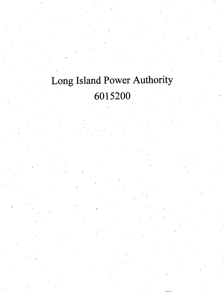## Long Island Power Authority 6015200